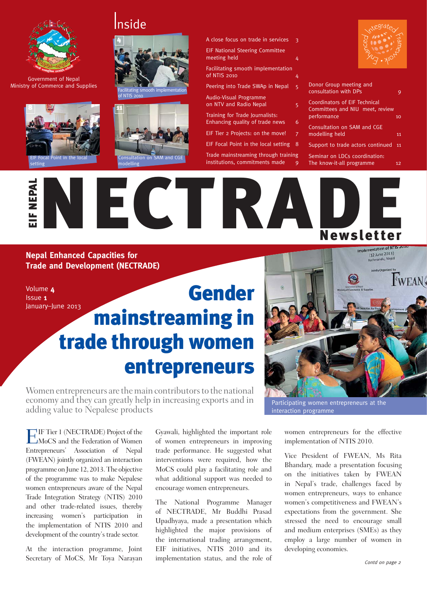

Government of Nepal Ministry of Commerce and Supplies









A close focus on trade in services

EIF National Steering Committee meeting held 4

Facilitating smooth implementation of NTIS 2010 4

Peering into Trade SWAp in Nepal 5

Audio-Visual Programme on NTV and Radio Nepal 5

Training for Trade Journalists: Enhancing quality of trade news 6

- EIF Tier 2 Projects: on the move!
- EIF Focal Point in the local setting 8

Trade mainstreaming through training institutions, commitments made



| Donor Group meeting and<br>consultation with DPs                                |    |
|---------------------------------------------------------------------------------|----|
| Coordinators of EIF Technical<br>Committees and NIU meet, review<br>performance | 10 |
| Consultation on SAM and CGE<br>modelling held                                   | 11 |
| Support to trade actors continued                                               | 11 |
| Seminar on LDCs coordination:<br>The know-it-all programme                      | 12 |

**Newsletter** 

**Nepal Enhanced Capacities for Trade and Development (NECTRADE)**

Volume 4 Issue 1 January–June 2013 EIF NEPAL

### Gender mainstreaming in trade through women entrepreneurs



Women entrepreneurs are the main contributors to the national economy and they can greatly help in increasing exports and in adding value to Nepalese products

**E**IF Tier 1 (NECTRADE) Project of the MoCS and the Federation of Women Entrepreneurs' Association of Nepal (FWEAN) jointly organized an interaction programme on June 12, 2013. The objective of the programme was to make Nepalese women entrepreneurs aware of the Nepal Trade Integration Strategy (NTIS) 2010 and other trade-related issues, thereby increasing women's participation in the implementation of NTIS 2010 and development of the country's trade sector.

At the interaction programme, Joint Secretary of MoCS, Mr Toya Narayan

Gyawali, highlighted the important role of women entrepreneurs in improving trade performance. He suggested what interventions were required, how the MoCS could play a facilitating role and what additional support was needed to encourage women entrepreneurs.

The National Programme Manager of NECTRADE, Mr Buddhi Prasad Upadhyaya, made a presentation which highlighted the major provisions of the international trading arrangement, EIF initiatives, NTIS 2010 and its implementation status, and the role of  $\n*Cond* on page 2$ 

Participating women entrepreneurs at the interaction programme

women entrepreneurs for the effective implementation of NTIS 2010.

Vice President of FWEAN, Ms Rita Bhandary, made a presentation focusing on the initiatives taken by FWEAN in Nepal's trade, challenges faced by women entrepreneurs, ways to enhance women's competitiveness and FWEAN's expectations from the government. She stressed the need to encourage small and medium enterprises (SMEs) as they employ a large number of women in developing economies.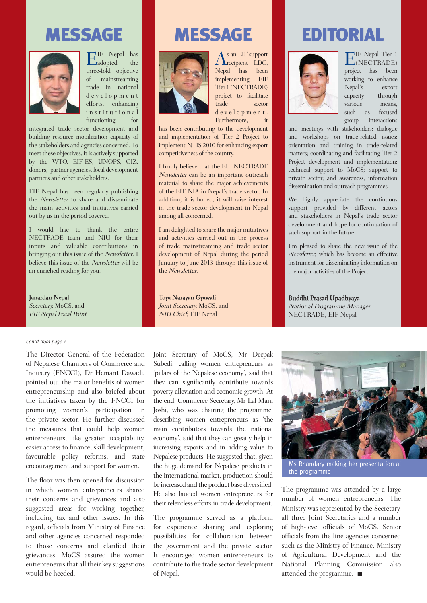### EIF Nepal-NECTRADE NEWSLETTER Volume 4 Issue 1 January–June 2013



 $\frac{1}{2}$ IF Nepal has  $\mathsf{L}$ adopted the  $\mathsf{L}$ three-fold objective of mainstreaming trade in national d e v e l o p m e n t efforts, enhancing institutional functioning for

integrated trade sector development and building resource mobilization capacity of the stakeholders and agencies concerned. To meet these objectives, it is actively supported by the WTO, EIF-ES, UNOPS, GIZ, donors, partner agencies, local development partners and other stakeholders.

EIF Nepal has been regularly publishing the Newsletter to share and disseminate the main activities and initiatives carried out by us in the period covered.

I would like to thank the entire NECTRADE team and NIU for their inputs and valuable contributions in bringing out this issue of the Newsletter. I believe this issue of the Newsletter will be an enriched reading for you.

Janardan Nepal Secretary, MoCS, and EIF Nepal Focal Point

### Contd from page 1

The Director General of the Federation of Nepalese Chambers of Commerce and Industry (FNCCI), Dr Hemant Dawadi, pointed out the major benefits of women entrepreneurship and also briefed about the initiatives taken by the FNCCI for promoting women's participation in the private sector. He further discussed the measures that could help women entrepreneurs, like greater acceptability, easier access to finance, skill development, favourable policy reforms, and state encouragement and support for women.

The floor was then opened for discussion in which women entrepreneurs shared their concerns and grievances and also suggested areas for working together, including tax and other issues. In this regard, officials from Ministry of Finance and other agencies concerned responded to those concerns and clarified their grievances. MoCS assured the women entrepreneurs that all their key suggestions would be heeded.



 $A<sup>s</sup>$  an EIF support<br>  $LDC$ , Nepal has been implementing EIF Tier 1 (NECTRADE) project to facilitate trade sector d e v e l o p m e n t. Furthermore,

has been contributing to the development and implementation of Tier 2 Project to implement NTIS 2010 for enhancing export

I firmly believe that the EIF NECTRADE Newsletter can be an important outreach material to share the major achievements of the EIF NIA in Nepal's trade sector. In addition, it is hoped, it will raise interest in the trade sector development in Nepal among all concerned.

competitiveness of the country.

I am delighted to share the major initiatives and activities carried out in the process of trade mainstreaming and trade sector development of Nepal during the period January to June 2013 through this issue of the Newsletter.

Toya Narayan Gyawali Joint Secretary, MoCS, and NIU Chief, EIF Nepal

MESSAGE **MESSAGE EDITORIAL** 



**E**IF Nepal Tier 1 (NECTRADE) project has been working to enhance Nepal's export capacity through various means, such as focused group interactions

and meetings with stakeholders; dialogue and workshops on trade-related issues; orientation and training in trade-related matters; coordinating and facilitating Tier 2 Project development and implementation; technical support to MoCS; support to private sector; and awareness, information dissemination and outreach programmes.

We highly appreciate the continuous support provided by different actors and stakeholders in Nepal's trade sector development and hope for continuation of such support in the future.

I'm pleased to share the new issue of the Newsletter, which has become an effective instrument for disseminating information on the major activities of the Project.

Buddhi Prasad Upadhyaya National Programme Manager NECTRADE, EIF Nepal

Joint Secretary of MoCS, Mr Deepak Subedi, calling women entrepreneurs as 'pillars of the Nepalese economy', said that they can significantly contribute towards poverty alleviation and economic growth. At the end, Commerce Secretary, Mr Lal Mani Joshi, who was chairing the programme, describing women entrepreneurs as 'the main contributors towards the national economy', said that they can greatly help in increasing exports and in adding value to Nepalese products. He suggested that, given the huge demand for Nepalese products in the international market, production should be increased and the product base diversified. He also lauded women entrepreneurs for their relentless efforts in trade development.

The programme served as a platform for experience sharing and exploring possibilities for collaboration between the government and the private sector. It encouraged women entrepreneurs to contribute to the trade sector development of Nepal.



Ms Bhandary making her presentation at the programme

The programme was attended by a large number of women entrepreneurs. The Ministry was represented by the Secretary, all three Joint Secretaries and a number of high-level officials of MoCS. Senior officials from the line agencies concerned such as the Ministry of Finance, Ministry of Agricultural Development and the National Planning Commission also attended the programme.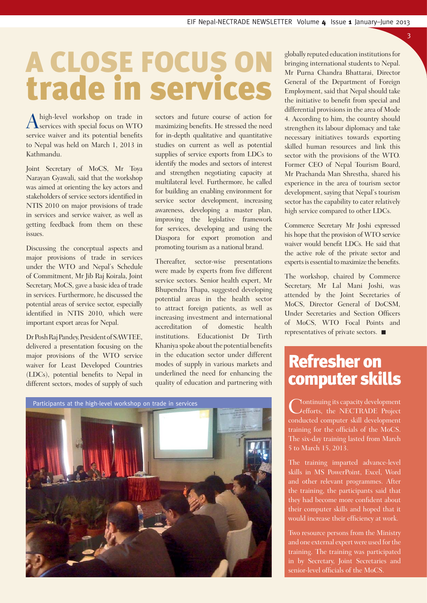### trade in services A CLOSE FOCUS ON

A high-level workshop on trade in<br>
Services with special focus on WTO service waiver and its potential benefits to Nepal was held on March 1, 2013 in Kathmandu.

Joint Secretary of MoCS, Mr Toya Narayan Gyawali, said that the workshop was aimed at orienting the key actors and stakeholders of service sectors identified in NTIS 2010 on major provisions of trade in services and service waiver, as well as getting feedback from them on these issues.

Discussing the conceptual aspects and major provisions of trade in services under the WTO and Nepal's Schedule of Commitment, Mr Jib Raj Koirala, Joint Secretary, MoCS, gave a basic idea of trade in services. Furthermore, he discussed the potential areas of service sector, especially identified in NTIS 2010, which were important export areas for Nepal.

Dr Posh Raj Pandey, President of SAWTEE, delivered a presentation focusing on the major provisions of the WTO service waiver for Least Developed Countries (LDCs), potential benefits to Nepal in different sectors, modes of supply of such sectors and future course of action for maximizing benefits. He stressed the need for in-depth qualitative and quantitative studies on current as well as potential supplies of service exports from LDCs to identify the modes and sectors of interest and strengthen negotiating capacity at multilateral level. Furthermore, he called for building an enabling environment for service sector development, increasing awareness, developing a master plan, improving the legislative framework for services, developing and using the Diaspora for export promotion and promoting tourism as a national brand.

Thereafter, sector-wise presentations were made by experts from five different service sectors. Senior health expert, Mr Bhupendra Thapa, suggested developing potential areas in the health sector to attract foreign patients, as well as increasing investment and international accreditation of domestic health institutions. Educationist Dr Tirth Khaniya spoke about the potential benefits in the education sector under different modes of supply in various markets and underlined the need for enhancing the quality of education and partnering with





globally reputed education institutions for bringing international students to Nepal. Mr Purna Chandra Bhattarai, Director General of the Department of Foreign Employment, said that Nepal should take the initiative to benefit from special and differential provisions in the area of Mode 4. According to him, the country should strengthen its labour diplomacy and take necessary initiatives towards exporting skilled human resources and link this sector with the provisions of the WTO. Former CEO of Nepal Tourism Board, Mr Prachanda Man Shrestha, shared his experience in the area of tourism sector development, saying that Nepal's tourism sector has the capability to cater relatively high service compared to other LDCs.

3

Commerce Secretary Mr Joshi expressed his hope that the provision of WTO service waiver would benefit LDCs. He said that the active role of the private sector and experts is essential to maximize the benefits.

The workshop, chaired by Commerce Secretary, Mr Lal Mani Joshi, was attended by the Joint Secretaries of MoCS, Director General of DoCSM, Under Secretaries and Section Officers of MoCS, WTO Focal Points and representatives of private sectors.

### Refresher on computer skills

Continuing its capacity development<br>
efforts, the NECTRADE Project conducted computer skill development training for the officials of the MoCS. The six-day training lasted from March 5 to March 15, 2013.

The training imparted advance-level skills in MS PowerPoint, Excel, Word and other relevant programmes. After the training, the participants said that they had become more confident about their computer skills and hoped that it would increase their efficiency at work.

Two resource persons from the Ministry and one external expert were used for the training. The training was participated in by Secretary, Joint Secretaries and senior-level officials of the MoCS.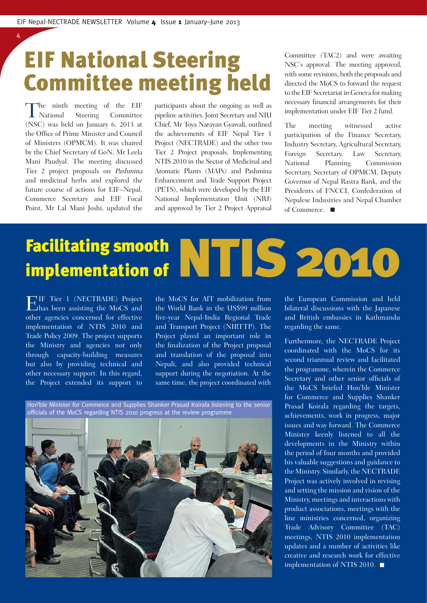### EIF National Steering Committee meeting held

The ninth meeting of the EIF<br>National Steering Committee Steering Committee (NSC) was held on January 6, 2013 at the Office of Prime Minister and Council of Ministers (OPMCM). It was chaired by the Chief Secretary of GoN, Mr Leela Mani Paudyal. The meeting discussed Tier 2 project proposals on Pashmina and medicinal herbs and explored the future course of actions for EIF–Nepal. Commerce Secretary and EIF Focal Point, Mr Lal Mani Joshi, updated the

4

participants about the ongoing as well as pipeline activities. Joint Secretary and NIU Chief, Mr Toya Narayan Gyawali, outlined the achievements of EIF Nepal Tier 1 Project (NECTRADE) and the other two Tier 2 Project proposals, Implementing NTIS 2010 in the Sector of Medicinal and Aromatic Plants (MAPs) and Pashmina Enhancement and Trade Support Project (PETS), which were developed by the EIF National Implementation Unit (NIU) and approved by Tier 2 Project Appraisal Committee (TAC2) and were awaiting NSC's approval. The meeting approved, with some revisions, both the proposals and directed the MoCS to forward the request to the EIF Secretariat in Geneva for making necessary financial arrangements for their implementation under EIF Tier 2 fund.

The meeting witnessed active participation of the Finance Secretary, Industry Secretary, Agricultural Secretary, Foreign Secretary, Law Secretary, National Planning Commission Secretary, Secretary of OPMCM, Deputy Governor of Nepal Rastra Bank, and the Presidents of FNCCI, Confederation of Nepalese Industries and Nepal Chamber of Commerce. ■

### Facilitating smooth implementation of

 $\prod_{\text{has been assigning the MoCS and}}^{\text{IF}}$ other agencies concerned for effective implementation of NTIS 2010 and Trade Policy 2009. The project supports the Ministry and agencies not only through capacity-building measures but also by providing technical and other necessary support. In this regard, the Project extended its support to

the MoCS for AfT mobilization from the World Bank in the US\$99 million fi ve-year Nepal-India Regional Trade and Transport Project (NIRTTP). The Project played an important role in the finalization of the Project proposal and translation of the proposal into Nepali, and also provided technical support during the negotiation. At the same time, the project coordinated with

Hon'ble Minister for Commerce and Supplies Shanker Prasad Koirala listening to the senior officials of the MoCS regarding NTIS 2010 progress at the review programme



the European Commission and held bilateral discussions with the Japanese and British embassies in Kathmandu regarding the same.

NTIS 2010

Furthermore, the NECTRADE Project coordinated with the MoCS for its second triannual review and facilitated the programme, wherein the Commerce Secretary and other senior officials of the MoCS briefed Hon'ble Minister for Commerce and Supplies Shanker Prasad Koirala regarding the targets, achievements, work in progress, major issues and way forward. The Commerce Minister keenly listened to all the developments in the Ministry within the period of four months and provided his valuable suggestions and guidance to the Ministry. Similarly, the NECTRADE Project was actively involved in revising and setting the mission and vision of the Ministry, meetings and interactions with product associations, meetings with the line ministries concerned, organizing Trade Advisory Committee (TAC) meetings, NTIS 2010 implementation updates and a number of activities like creative and research work for effective implementation of NTIS 2010.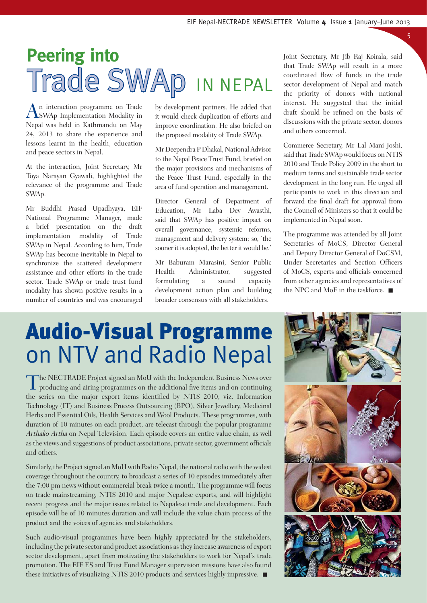### **Peering into** Trade SWAp IN NEPAL

An interaction programme on Trade SWAp Implementation Modality in Nepal was held in Kathmandu on May 24, 2013 to share the experience and lessons learnt in the health, education and peace sectors in Nepal.

At the interaction, Joint Secretary, Mr Toya Narayan Gyawali, highlighted the relevance of the programme and Trade SWAp.

Mr Buddhi Prasad Upadhyaya, EIF National Programme Manager, made a brief presentation on the draft implementation modality of Trade SWAp in Nepal. According to him, Trade SWAp has become inevitable in Nepal to synchronize the scattered development assistance and other efforts in the trade sector. Trade SWAp or trade trust fund modality has shown positive results in a number of countries and was encouraged

by development partners. He added that it would check duplication of efforts and improve coordination. He also briefed on the proposed modality of Trade SWAp.

Mr Deependra P Dhakal, National Advisor to the Nepal Peace Trust Fund, briefed on the major provisions and mechanisms of the Peace Trust Fund, especially in the area of fund operation and management.

Director General of Department of Education, Mr Laba Dev Awasthi, said that SWAp has positive impact on overall governance, systemic reforms, management and delivery system; so, 'the sooner it is adopted, the better it would be.'

Mr Baburam Marasini, Senior Public Health Administrator, suggested formulating a sound capacity development action plan and building broader consensus with all stakeholders.

Joint Secretary, Mr Jib Raj Koirala, said that Trade SWAp will result in a more coordinated flow of funds in the trade sector development of Nepal and match the priority of donors with national interest. He suggested that the initial draft should be refined on the basis of discussions with the private sector, donors and others concerned.

5

Commerce Secretary, Mr Lal Mani Joshi, said that Trade SWAp would focus on NTIS 2010 and Trade Policy 2009 in the short to medium terms and sustainable trade sector development in the long run. He urged all participants to work in this direction and forward the final draft for approval from the Council of Ministers so that it could be implemented in Nepal soon.

The programme was attended by all Joint Secretaries of MoCS, Director General and Deputy Director General of DoCSM, Under Secretaries and Section Officers of MoCS, experts and officials concerned from other agencies and representatives of the NPC and MoF in the taskforce.

### Audio-Visual Programme on NTV and Radio Nepal

The NECTRADE Project signed an MoU with the Independent Business News over<br>producing and airing programmes on the additional five items and on continuing the series on the major export items identified by NTIS 2010, viz. Information Technology (IT) and Business Process Outsourcing (BPO), Silver Jewellery, Medicinal Herbs and Essential Oils, Health Services and Wool Products. These programmes, with duration of 10 minutes on each product, are telecast through the popular programme Arthako Artha on Nepal Television. Each episode covers an entire value chain, as well as the views and suggestions of product associations, private sector, government officials and others.

Similarly, the Project signed an MoU with Radio Nepal, the national radio with the widest coverage throughout the country, to broadcast a series of 10 episodes immediately after the 7:00 pm news without commercial break twice a month. The programme will focus on trade mainstreaming, NTIS 2010 and major Nepalese exports, and will highlight recent progress and the major issues related to Nepalese trade and development. Each episode will be of 10 minutes duration and will include the value chain process of the product and the voices of agencies and stakeholders.

Such audio-visual programmes have been highly appreciated by the stakeholders, including the private sector and product associations as they increase awareness of export sector development, apart from motivating the stakeholders to work for Nepal's trade promotion. The EIF ES and Trust Fund Manager supervision missions have also found these initiatives of visualizing NTIS 2010 products and services highly impressive.

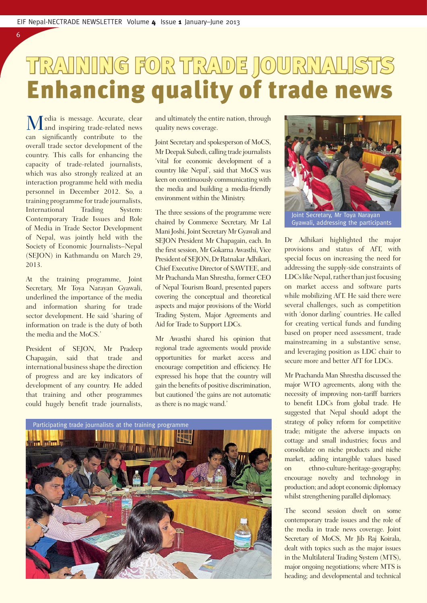### TRAINING FOR TRADE JOURNALISTS RAINING JOURNALISTS Enhancing quality of trade news

Media is message. Accurate, clear and inspiring trade-related news can significantly contribute to the overall trade sector development of the country. This calls for enhancing the capacity of trade-related journalists, which was also strongly realized at an interaction programme held with media personnel in December 2012. So, a training programme for trade journalists, International Trading System: Contemporary Trade Issues and Role of Media in Trade Sector Development of Nepal, was jointly held with the Society of Economic Journalists–Nepal (SEJON) in Kathmandu on March 29, 2013.

6

At the training programme, Joint Secretary, Mr Toya Narayan Gyawali, underlined the importance of the media and information sharing for trade sector development. He said 'sharing of information on trade is the duty of both the media and the MoCS.'

President of SEJON, Mr Pradeep Chapagain, said that trade and international business shape the direction of progress and are key indicators of development of any country. He added that training and other programmes could hugely benefit trade journalists,

and ultimately the entire nation, through quality news coverage.

Joint Secretary and spokesperson of MoCS, Mr Deepak Subedi, calling trade journalists 'vital for economic development of a country like Nepal', said that MoCS was keen on continuously communicating with the media and building a media-friendly environment within the Ministry.

The three sessions of the programme were chaired by Commerce Secretary, Mr Lal Mani Joshi, Joint Secretary Mr Gyawali and SEJON President Mr Chapagain, each. In the first session, Mr Gokarna Awasthi, Vice President of SEJON, Dr Ratnakar Adhikari, Chief Executive Director of SAWTEE, and Mr Prachanda Man Shrestha, former CEO of Nepal Tourism Board, presented papers covering the conceptual and theoretical aspects and major provisions of the World Trading System, Major Agreements and Aid for Trade to Support LDCs.

Mr Awasthi shared his opinion that regional trade agreements would provide opportunities for market access and encourage competition and efficiency. He expressed his hope that the country will gain the benefits of positive discrimination, but cautioned 'the gains are not automatic as there is no magic wand.'





Gyawali, addressing the participants

Dr Adhikari highlighted the major provisions and status of AfT, with special focus on increasing the need for addressing the supply-side constraints of LDCs like Nepal, rather than just focusing on market access and software parts while mobilizing AfT. He said there were several challenges, such as competition with 'donor darling' countries. He called for creating vertical funds and funding based on proper need assessment, trade mainstreaming in a substantive sense, and leveraging position as LDC chair to secure more and better AfT for LDCs.

Mr Prachanda Man Shrestha discussed the major WTO agreements, along with the necessity of improving non-tariff barriers to benefit LDCs from global trade. He suggested that Nepal should adopt the strategy of policy reform for competitive trade; mitigate the adverse impacts on cottage and small industries; focus and consolidate on niche products and niche market, adding intangible values based on ethno-culture-heritage-geography; encourage novelty and technology in production; and adopt economic diplomacy whilst strengthening parallel diplomacy.

The second session dwelt on some contemporary trade issues and the role of the media in trade news coverage. Joint Secretary of MoCS, Mr Jib Raj Koirala, dealt with topics such as the major issues in the Multilateral Trading System (MTS), major ongoing negotiations; where MTS is heading; and developmental and technical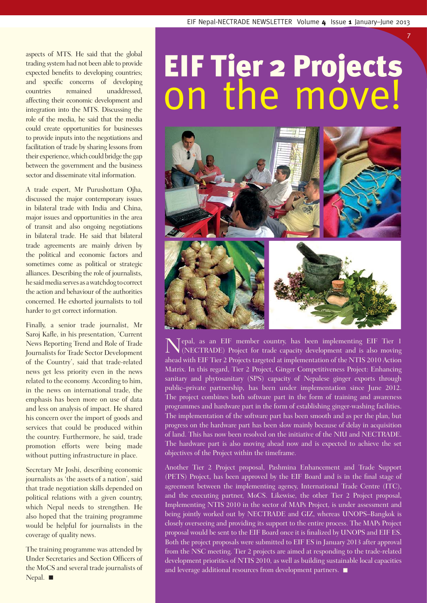7

aspects of MTS. He said that the global trading system had not been able to provide expected benefits to developing countries; and specific concerns of developing countries remained unaddressed, affecting their economic development and integration into the MTS. Discussing the role of the media, he said that the media could create opportunities for businesses to provide inputs into the negotiations and facilitation of trade by sharing lessons from their experience, which could bridge the gap between the government and the business sector and disseminate vital information.

A trade expert, Mr Purushottam Ojha, discussed the major contemporary issues in bilateral trade with India and China, major issues and opportunities in the area of transit and also ongoing negotiations in bilateral trade. He said that bilateral trade agreements are mainly driven by the political and economic factors and sometimes come as political or strategic alliances. Describing the role of journalists, he said media serves as a watchdog to correct the action and behaviour of the authorities concerned. He exhorted journalists to toil harder to get correct information.

Finally, a senior trade journalist, Mr Saroj Kafle, in his presentation, 'Current News Reporting Trend and Role of Trade Journalists for Trade Sector Development of the Country', said that trade-related news get less priority even in the news related to the economy. According to him, in the news on international trade, the emphasis has been more on use of data and less on analysis of impact. He shared his concern over the import of goods and services that could be produced within the country. Furthermore, he said, trade promotion efforts were being made without putting infrastructure in place.

Secretary Mr Joshi, describing economic journalists as 'the assets of a nation', said that trade negotiation skills depended on political relations with a given country, which Nepal needs to strengthen. He also hoped that the training programme would be helpful for journalists in the coverage of quality news.

The training programme was attended by Under Secretaries and Section Officers of the MoCS and several trade journalists of Nepal.

## EIF Tier 2 Projects on the move!



Nepal, as an EIF member country, has been implementing EIF Tier 1 (NECTRADE) Project for trade capacity development and is also moving ahead with EIF Tier 2 Projects targeted at implementation of the NTIS 2010 Action Matrix. In this regard, Tier 2 Project, Ginger Competitiveness Project: Enhancing sanitary and phytosanitary (SPS) capacity of Nepalese ginger exports through public–private partnership, has been under implementation since June 2012. The project combines both software part in the form of training and awareness programmes and hardware part in the form of establishing ginger-washing facilities. The implementation of the software part has been smooth and as per the plan, but progress on the hardware part has been slow mainly because of delay in acquisition of land. This has now been resolved on the initiative of the NIU and NECTRADE. The hardware part is also moving ahead now and is expected to achieve the set objectives of the Project within the timeframe.

Another Tier 2 Project proposal, Pashmina Enhancement and Trade Support (PETS) Project, has been approved by the EIF Board and is in the final stage of agreement between the implementing agency, International Trade Centre (ITC), and the executing partner, MoCS. Likewise, the other Tier 2 Project proposal, Implementing NTIS 2010 in the sector of MAPs Project, is under assessment and being jointly worked out by NECTRADE and GIZ, whereas UNOPS–Bangkok is closely overseeing and providing its support to the entire process. The MAPs Project proposal would be sent to the EIF Board once it is finalized by UNOPS and EIF ES. Both the project proposals were submitted to EIF ES in January 2013 after approval from the NSC meeting. Tier 2 projects are aimed at responding to the trade-related development priorities of NTIS 2010, as well as building sustainable local capacities and leverage additional resources from development partners.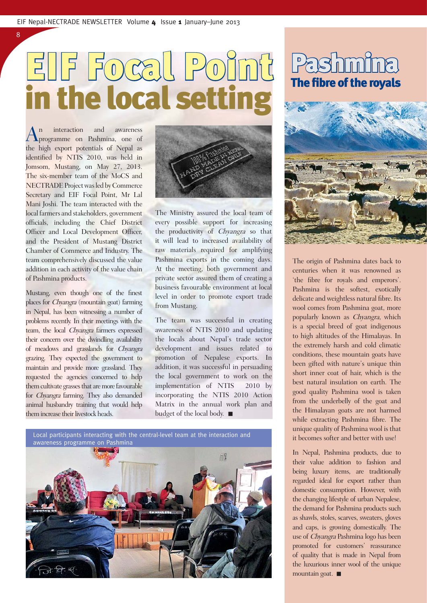# EIF Focal Point

An interaction and awareness<br>programme on Pashmina, one of the high export potentials of Nepal as identified by NTIS 2010, was held in Jomsom, Mustang, on May 27, 2013. The six-member team of the MoCS and NECTRADE Project was led by Commerce Secretary and EIF Focal Point, Mr Lal Mani Joshi. The team interacted with the local farmers and stakeholders, government officials, including the Chief District Officer and Local Development Officer, and the President of Mustang District Chamber of Commerce and Industry. The team comprehensively discussed the value addition in each activity of the value chain of Pashmina products.

8

Mustang, even though one of the finest places for *Chyangra* (mountain goat) farming in Nepal, has been witnessing a number of problems recently. In their meetings with the team, the local Chyangra farmers expressed their concern over the dwindling availability of meadows and grasslands for Chyangra grazing. They expected the government to maintain and provide more grassland. They requested the agencies concerned to help them cultivate grasses that are more favourable for Chyangra farming. They also demanded animal husbandry training that would help them increase their livestock heads.



The Ministry assured the local team of every possible support for increasing the productivity of Chyangra so that it will lead to increased availability of raw materials required for amplifying Pashmina exports in the coming days. At the meeting, both government and private sector assured them of creating a business favourable environment at local level in order to promote export trade from Mustang.

The team was successful in creating awareness of NTIS 2010 and updating the locals about Nepal's trade sector development and issues related to promotion of Nepalese exports. In addition, it was successful in persuading the local government to work on the implementation of NTIS 2010 by incorporating the NTIS 2010 Action Matrix in the annual work plan and budget of the local body.



# **Pashmina**



The origin of Pashmina dates back to centuries when it was renowned as 'the fibre for royals and emperors'. Pashmina is the softest, exotically delicate and weightless natural fibre. Its wool comes from Pashmina goat, more popularly known as Chyangra, which is a special breed of goat indigenous to high altitudes of the Himalayas. In the extremely harsh and cold climatic conditions, these mountain goats have been gifted with nature's unique thin short inner coat of hair, which is the best natural insulation on earth. The good quality Pashmina wool is taken from the underbelly of the goat and the Himalayan goats are not harmed while extracting Pashmina fibre. The unique quality of Pashmina wool is that it becomes softer and better with use!

In Nepal, Pashmina products, due to their value addition to fashion and being luxury items, are traditionally regarded ideal for export rather than domestic consumption. However, with the changing lifestyle of urban Nepalese, the demand for Pashmina products such as shawls, stoles, scarves, sweaters, gloves and caps, is growing domestically. The use of Chyangra Pashmina logo has been promoted for customers' reassurance of quality that is made in Nepal from the luxurious inner wool of the unique mountain goat. ■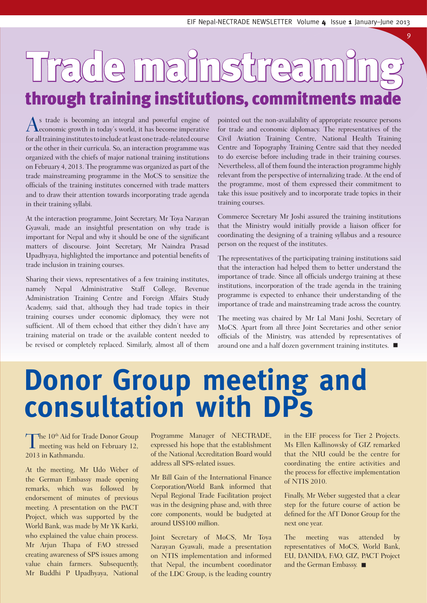9

## Trade mainstreaming through training institutions, commitments made

As trade is becoming an integral and powerful engine of economic growth in today's world, it has become imperative for all training institutes to include at least one trade-related course or the other in their curricula. So, an interaction programme was organized with the chiefs of major national training institutions on February 4, 2013. The programme was organized as part of the trade mainstreaming programme in the MoCS to sensitize the officials of the training institutes concerned with trade matters and to draw their attention towards incorporating trade agenda in their training syllabi.

At the interaction programme, Joint Secretary, Mr Toya Narayan Gyawali, made an insightful presentation on why trade is important for Nepal and why it should be one of the significant matters of discourse. Joint Secretary, Mr Naindra Prasad Upadhyaya, highlighted the importance and potential benefits of trade inclusion in training courses.

Sharing their views, representatives of a few training institutes, namely Nepal Administrative Staff College, Revenue Administration Training Centre and Foreign Affairs Study Academy, said that, although they had trade topics in their training courses under economic diplomacy, they were not sufficient. All of them echoed that either they didn't have any training material on trade or the available content needed to be revised or completely replaced. Similarly, almost all of them pointed out the non-availability of appropriate resource persons for trade and economic diplomacy. The representatives of the Civil Aviation Training Centre, National Health Training Centre and Topography Training Centre said that they needed to do exercise before including trade in their training courses. Nevertheless, all of them found the interaction programme highly relevant from the perspective of internalizing trade. At the end of the programme, most of them expressed their commitment to take this issue positively and to incorporate trade topics in their training courses.

Commerce Secretary Mr Joshi assured the training institutions that the Ministry would initially provide a liaison officer for coordinating the designing of a training syllabus and a resource person on the request of the institutes.

The representatives of the participating training institutions said that the interaction had helped them to better understand the importance of trade. Since all officials undergo training at these institutions, incorporation of the trade agenda in the training programme is expected to enhance their understanding of the importance of trade and mainstreaming trade across the country.

The meeting was chaired by Mr Lal Mani Joshi, Secretary of MoCS. Apart from all three Joint Secretaries and other senior officials of the Ministry, was attended by representatives of around one and a half dozen government training institutes.

### **Donor Group meeting and consultation with DPs**

The  $10^{th}$  Aid for Trade Donor Group<br>meeting was held on February 12, 2013 in Kathmandu.

At the meeting, Mr Udo Weber of the German Embassy made opening remarks, which was followed by endorsement of minutes of previous meeting. A presentation on the PACT Project, which was supported by the World Bank, was made by Mr YK Karki, who explained the value chain process. Mr Arjun Thapa of FAO stressed creating awareness of SPS issues among value chain farmers. Subsequently, Mr Buddhi P Upadhyaya, National Programme Manager of NECTRADE, expressed his hope that the establishment of the National Accreditation Board would address all SPS-related issues.

Mr Bill Gain of the International Finance Corporation/World Bank informed that Nepal Regional Trade Facilitation project was in the designing phase and, with three core components, would be budgeted at around US\$100 million.

Joint Secretary of MoCS, Mr Toya Narayan Gyawali, made a presentation on NTIS implementation and informed that Nepal, the incumbent coordinator of the LDC Group, is the leading country in the EIF process for Tier 2 Projects. Ms Ellen Kallinowsky of GIZ remarked that the NIU could be the centre for coordinating the entire activities and the process for effective implementation of NTIS 2010.

Finally, Mr Weber suggested that a clear step for the future course of action be defined for the AfT Donor Group for the next one year.

The meeting was attended by representatives of MoCS, World Bank, EU, DANIDA, FAO, GIZ, PACT Project and the German Embassy.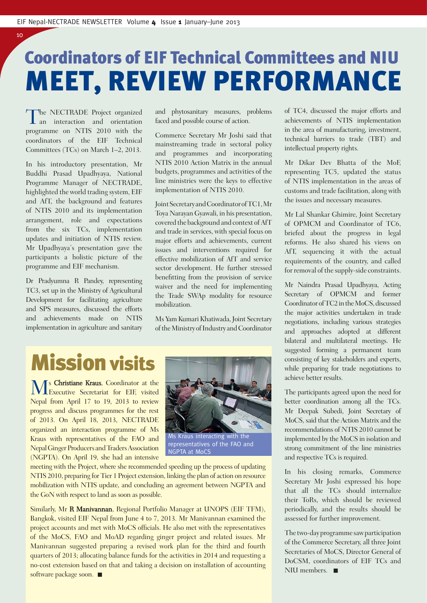### Coordinators of EIF Technical Committees and NIU MEET, REVIEW PERFORMANCE

The NECTRADE Project organized<br>an interaction and orientation programme on NTIS 2010 with the coordinators of the EIF Technical Committees (TCs) on March 1–2, 2013.

10

In his introductory presentation, Mr Buddhi Prasad Upadhyaya, National Programme Manager of NECTRADE, highlighted the world trading system, EIF and AfT, the background and features of NTIS 2010 and its implementation arrangement, role and expectations from the six TCs, implementation updates and initiation of NTIS review. Mr Upadhyaya's presentation gave the participants a holistic picture of the programme and EIF mechanism.

Dr Pradyumna R Pandey, representing TC3, set up in the Ministry of Agricultural Development for facilitating agriculture and SPS measures, discussed the efforts and achievements made on NTIS implementation in agriculture and sanitary and phytosanitary measures, problems faced and possible course of action.

Commerce Secretary Mr Joshi said that mainstreaming trade in sectoral policy and programmes and incorporating NTIS 2010 Action Matrix in the annual budgets, programmes and activities of the line ministries were the keys to effective implementation of NTIS 2010.

Joint Secretary and Coordinator of TC1, Mr Toya Narayan Gyawali, in his presentation, covered the background and context of AfT and trade in services, with special focus on major efforts and achievements, current issues and interventions required for effective mobilization of AfT and service sector development. He further stressed benefitting from the provision of service waiver and the need for implementing the Trade SWAp modality for resource mobilization.

Ms Yam Kumari Khatiwada, Joint Secretary of the Ministry of Industry and Coordinator

### Mission visits

**M**s Christiane Kraus, Coordinator at the Executive Secretariat for EIF, visited Nepal from April 17 to 19, 2013 to review progress and discuss programmes for the rest of 2013. On April 18, 2013, NECTRADE organized an interaction programme of Ms Kraus with representatives of the FAO and Nepal Ginger Producers and Traders Association (NGPTA). On April 19, she had an intensive



Ms Kraus interacting with the representatives of the FAO and NGPTA at MoCS

meeting with the Project, where she recommended speeding up the process of updating NTIS 2010, preparing for Tier 1 Project extension, linking the plan of action on resource mobilization with NTIS update, and concluding an agreement between NGPTA and the GoN with respect to land as soon as possible.

Similarly, Mr **R Manivannan**, Regional Portfolio Manager at UNOPS (EIF TFM), Bangkok, visited EIF Nepal from June 4 to 7, 2013. Mr Manivannan examined the project accounts and met with MoCS officials. He also met with the representatives of the MoCS, FAO and MoAD regarding ginger project and related issues. Mr Manivannan suggested preparing a revised work plan for the third and fourth quarters of 2013; allocating balance funds for the activities in 2014 and requesting a no-cost extension based on that and taking a decision on installation of accounting software package soon.

of TC4, discussed the major efforts and achievements of NTIS implementation in the area of manufacturing, investment, technical barriers to trade (TBT) and intellectual property rights.

Mr Dikar Dev Bhatta of the MoF, representing TC5, updated the status of NTIS implementation in the areas of customs and trade facilitation, along with the issues and necessary measures.

Mr Lal Shankar Ghimire, Joint Secretary of OPMCM and Coordinator of TC6, briefed about the progress in legal reforms. He also shared his views on AfT, sequencing it with the actual requirements of the country, and called for removal of the supply-side constraints.

Mr Naindra Prasad Upadhyaya, Acting Secretary of OPMCM and former Coordinator of TC2 in the MoCS, discussed the major activities undertaken in trade negotiations, including various strategies and approaches adopted at different bilateral and multilateral meetings. He suggested forming a permanent team consisting of key stakeholders and experts, while preparing for trade negotiations to achieve better results.

The participants agreed upon the need for better coordination among all the TCs. Mr Deepak Subedi, Joint Secretary of MoCS, said that the Action Matrix and the recommendations of NTIS 2010 cannot be implemented by the MoCS in isolation and strong commitment of the line ministries and respective TCs is required.

In his closing remarks, Commerce Secretary Mr Joshi expressed his hope that all the TCs should internalize their ToRs, which should be reviewed periodically, and the results should be assessed for further improvement.

The two-day programme saw participation of the Commerce Secretary, all three Joint Secretaries of MoCS, Director General of DoCSM, coordinators of EIF TCs and NIII members.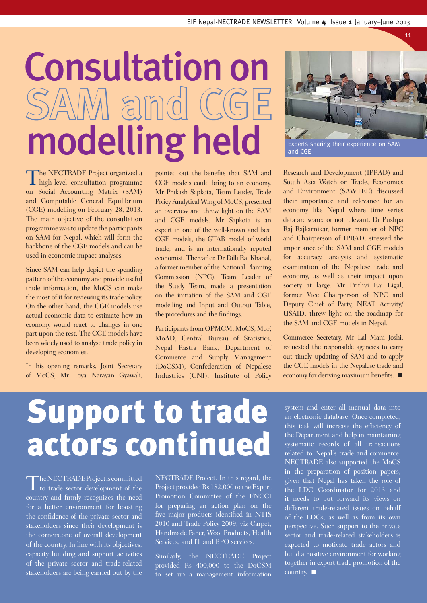# Consultation on SAM amd CG modelling held



11

Experts sharing their experience on SAM and CGE

The NECTRADE Project organized a<br>high-level consultation programme on Social Accounting Matrix (SAM) and Computable General Equilibrium (CGE) modelling on February 28, 2013. The main objective of the consultation programme was to update the participants on SAM for Nepal, which will form the backbone of the CGE models and can be used in economic impact analyses.

Since SAM can help depict the spending pattern of the economy and provide useful trade information, the MoCS can make the most of it for reviewing its trade policy. On the other hand, the CGE models use actual economic data to estimate how an economy would react to changes in one part upon the rest. The CGE models have been widely used to analyse trade policy in developing economies.

In his opening remarks, Joint Secretary of MoCS, Mr Toya Narayan Gyawali, pointed out the benefits that SAM and CGE models could bring to an economy. Mr Prakash Sapkota, Team Leader, Trade Policy Analytical Wing of MoCS, presented an overview and threw light on the SAM and CGE models. Mr Sapkota is an expert in one of the well-known and best CGE models, the GTAB model of world trade, and is an internationally reputed economist. Thereafter, Dr Dilli Raj Khanal, a former member of the National Planning Commission (NPC), Team Leader of the Study Team, made a presentation on the initiation of the SAM and CGE modelling and Input and Output Table, the procedures and the findings.

Participants from OPMCM, MoCS, MoF, MoAD, Central Bureau of Statistics, Nepal Rastra Bank, Department of Commerce and Supply Management (DoCSM), Confederation of Nepalese Industries (CNI), Institute of Policy

Research and Development (IPRAD) and South Asia Watch on Trade, Economics and Environment (SAWTEE) discussed their importance and relevance for an economy like Nepal where time series data are scarce or not relevant. Dr Pushpa Raj Rajkarnikar, former member of NPC and Chairperson of IPRAD, stressed the importance of the SAM and CGE models for accuracy, analysis and systematic examination of the Nepalese trade and economy, as well as their impact upon society at large. Mr Prithvi Raj Ligal, former Vice Chairperson of NPC and Deputy Chief of Party, NEAT Activity/ USAID, threw light on the roadmap for the SAM and CGE models in Nepal.

Commerce Secretary, Mr Lal Mani Joshi, requested the responsible agencies to carry out timely updating of SAM and to apply the CGE models in the Nepalese trade and economy for deriving maximum benefits.  $\blacksquare$ 

## Support to trade actors continued

The NECTRADE Project is committed<br>to trade sector development of the country and firmly recognizes the need for a better environment for boosting the confidence of the private sector and stakeholders since their development is the cornerstone of overall development of the country. In line with its objectives, capacity building and support activities of the private sector and trade-related stakeholders are being carried out by the

NECTRADE Project. In this regard, the Project provided Rs 182,000 to the Export Promotion Committee of the FNCCI for preparing an action plan on the five major products identified in NTIS 2010 and Trade Policy 2009, viz Carpet, Handmade Paper, Wool Products, Health Services, and IT and BPO services.

Similarly, the NECTRADE Project provided Rs 400,000 to the DoCSM to set up a management information system and enter all manual data into an electronic database. Once completed, this task will increase the efficiency of the Department and help in maintaining systematic records of all transactions related to Nepal's trade and commerce. NECTRADE also supported the MoCS in the preparation of position papers, given that Nepal has taken the role of the LDC Coordinator for 2013 and it needs to put forward its views on different trade-related issues on behalf of the LDCs, as well as from its own perspective. Such support to the private sector and trade-related stakeholders is expected to motivate trade actors and build a positive environment for working together in export trade promotion of the country.